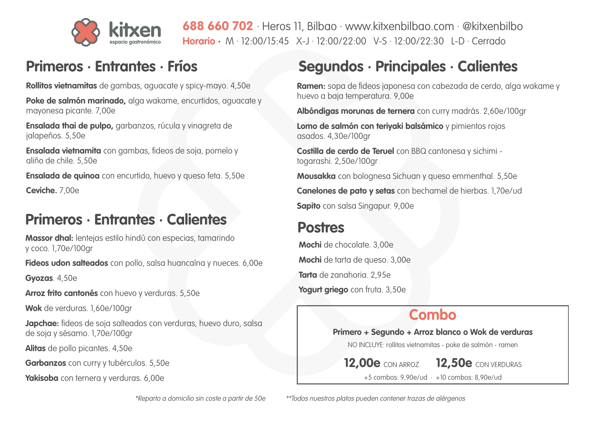# **Primeros · Entrantes · Fríos Segundos · Principales · Calientes**

**Ramen:** sopa de fideos japonesa con cabezada de cerdo, alga wakame y huevo a baja temperatura. 9,00e

**Albóndigas morunas de ternera** con curry madrás. 2,60e/100gr

**Lomo de salmón con teriyaki balsámico** y pimientos rojos asados. 4,30e/100gr

**Costilla de cerdo de Teruel** con BBQ cantonesa y sichimi togarashi. 2,50e/100gr

**Mousakka** con bolognesa Sichuan y queso emmenthal. 5,50e

**Canelones de pato y setas** con bechamel de hierbas. 1,70e/ud

**Sapito** con salsa Singapur. 9,00e

## **Postres**

**Mochi** de chocolate. 3,00e **Mochi** de tarta de queso. 3,00e **Tarta** de zanahoria. 2,95e **Yogurt griego** con fruta. 3,50e

## **Primeros · Entrantes · Calientes**

**Rollitos vietnamitas** de gambas, aguacate y spicy-mayo. 4,50e

**Poke de salmón marinado,** alga wakame, encurtidos, aguacate y mayonesa picante. 7,00e

**Ensalada thai de pulpo,** garbanzos, rúcula y vinagreta de jalapeños. 5,50e

**Ensalada vietnamita** con gambas, fideos de soja, pomelo y aliño de chile. 5,50e

**Ensalada de quinoa** con encurtido, huevo y queso feta. 5,50e

**Ceviche.** 7,00e

**688 660 702** · Heros 11, Bilbao · www.kitxenbilbao.com · @kitxenbilbo **Horario ·** M · 12:00/15:45 X-J · 12:00/22:00 V-S · 12:00/22:30 L-D · Cerrado

**Massor dhal:** lentejas estilo hindú con especias, tamarindo y coco. 1,70e/100gr

**Fideos udon salteados** con pollo, salsa huancaína y nueces. 6,00e

**Gyozas**. 4,50e

**Arroz frito cantonés** con huevo y verduras. 5,50e

**Wok** de verduras. 1,60e/100gr

**Japchae:** fideos de soja salteados con verduras, huevo duro, salsa de soja y sésamo. 1,70e/100gr

**Alitas** de pollo picantes. 4,50e

**Garbanzos** con curry y tubérculos. 5,50e

**Yakisoba** con ternera y verduras. 6,00e

### **Combo**

### **Primero + Segundo + Arroz blanco o Wok de verduras**

NO INCLUYE: rollitos vietnamitas - poke de salmón - ramen

**12,00e** CON ARROZ **12,50e** CON VERDURAS

+5 combos: 9,90e/ud · +10 combos: 8,90e/ud